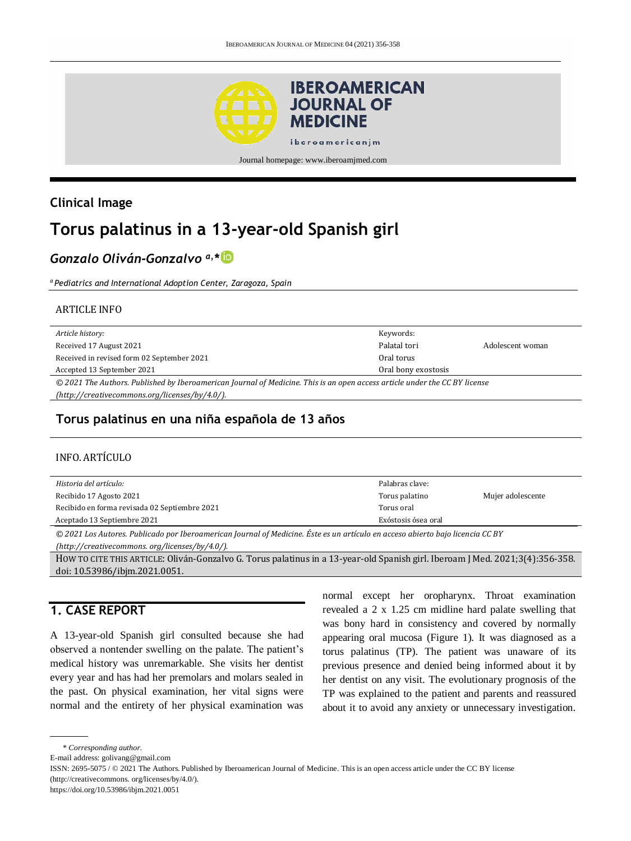

## **Clinical Image**

# **Torus palatinus in a 13-year-old Spanish girl**

# *Gonzalo Oliván-Gonzalvo a, \**

*<sup>a</sup> Pediatrics and International Adoption Center, Zaragoza, Spain*

#### ARTICLE INFO

| Article history:                                                                                                           | Keywords:           |                  |
|----------------------------------------------------------------------------------------------------------------------------|---------------------|------------------|
| Received 17 August 2021                                                                                                    | Palatal tori        | Adolescent woman |
| Received in revised form 02 September 2021                                                                                 | Oral torus          |                  |
| Accepted 13 September 2021                                                                                                 | Oral bony exostosis |                  |
| © 2021 The Authors. Published by Iberoamerican Journal of Medicine. This is an open access article under the CC BY license |                     |                  |
| (http://creativecommons.org/licenses/by/4.0/).                                                                             |                     |                  |

#### **Torus palatinus en una niña española de 13 años**

#### INFO. ARTÍCULO

| Historia del artículo:                        | Palabras clave:     |                   |
|-----------------------------------------------|---------------------|-------------------|
| Recibido 17 Agosto 2021                       | Torus palatino      | Mujer adolescente |
| Recibido en forma revisada 02 Septiembre 2021 | Torus oral          |                   |
| Aceptado 13 Septiembre 2021                   | Exóstosis ósea oral |                   |
|                                               | .                   |                   |

*© 2021 Los Autores. Publicado por Iberoamerican Journal of Medicine. Éste es un artículo en acceso abierto bajo licencia CC BY* 

*(http:/[/creativecommons. org/licenses/by/4.0/\)](https://creativecommons.org/licenses/by/4.0/).*

HOW TO CITE THIS ARTICLE: Oliván-Gonzalvo G. Torus palatinus in a 13-year-old Spanish girl. Iberoam J Med. 2021;3(4):356-358. doi[: 10.53986/ibjm.2021.0051.](https://doi.org/10.53986/ibjm.2021.0051) 

## **1. CASE REPORT**

A 13-year-old Spanish girl consulted because she had observed a nontender swelling on the palate. The patient's medical history was unremarkable. She visits her dentist every year and has had her premolars and molars sealed in the past. On physical examination, her vital signs were normal and the entirety of her physical examination was

normal except her oropharynx. Throat examination revealed a 2 x 1.25 cm midline hard palate swelling that was bony hard in consistency and covered by normally appearing oral mucosa (Figure 1). It was diagnosed as a torus palatinus (TP). The patient was unaware of its previous presence and denied being informed about it by her dentist on any visit. The evolutionary prognosis of the TP was explained to the patient and parents and reassured about it to avoid any anxiety or unnecessary investigation.

\* *Corresponding author.*

E-mail address: [golivang@gmail.com](mailto:golivang@gmail.com)

ISSN: 2695-5075 / © 2021 The Authors. Published by Iberoamerican Journal of Medicine. This is an open access article under the CC BY license (http:/[/creativecommons. org/licenses/by/4.0/\).](https://creativecommons.org/licenses/by/4.0/)

<https://doi.org/10.53986/ibjm.2021.0051>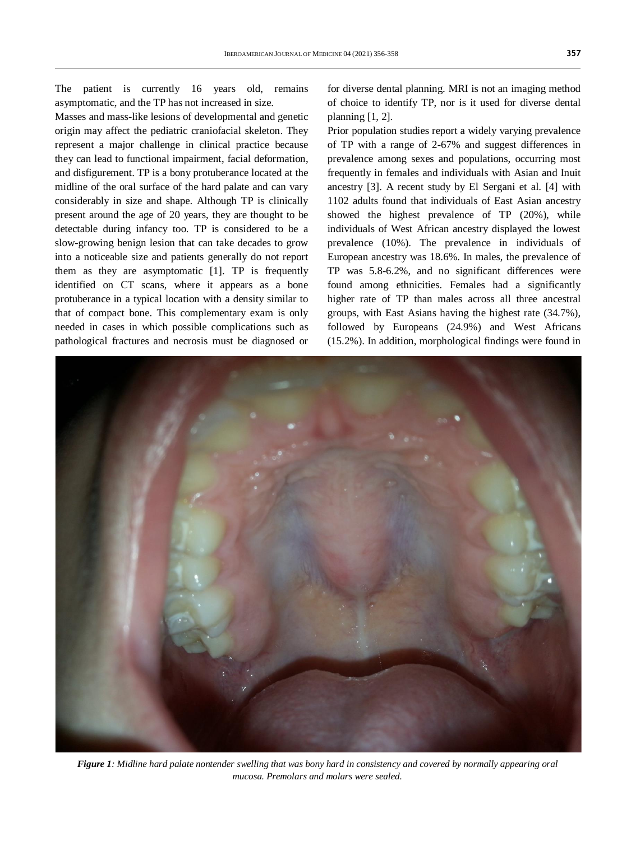The patient is currently 16 years old, remains asymptomatic, and the TP has not increased in size.

Masses and mass-like lesions of developmental and genetic origin may affect the pediatric craniofacial skeleton. They represent a major challenge in clinical practice because they can lead to functional impairment, facial deformation, and disfigurement. TP is a bony protuberance located at the midline of the oral surface of the hard palate and can vary considerably in size and shape. Although TP is clinically present around the age of 20 years, they are thought to be detectable during infancy too. TP is considered to be a slow-growing benign lesion that can take decades to grow into a noticeable size and patients generally do not report them as they are asymptomatic [1]. TP is frequently identified on CT scans, where it appears as a bone protuberance in a typical location with a density similar to that of compact bone. This complementary exam is only needed in cases in which possible complications such as pathological fractures and necrosis must be diagnosed or

for diverse dental planning. MRI is not an imaging method of choice to identify TP, nor is it used for diverse dental planning [1, 2].

Prior population studies report a widely varying prevalence of TP with a range of 2-67% and suggest differences in prevalence among sexes and populations, occurring most frequently in females and individuals with Asian and Inuit ancestry [3]. A recent study by El Sergani et al. [4] with 1102 adults found that individuals of East Asian ancestry showed the highest prevalence of TP (20%), while individuals of West African ancestry displayed the lowest prevalence (10%). The prevalence in individuals of European ancestry was 18.6%. In males, the prevalence of TP was 5.8-6.2%, and no significant differences were found among ethnicities. Females had a significantly higher rate of TP than males across all three ancestral groups, with East Asians having the highest rate (34.7%), followed by Europeans (24.9%) and West Africans (15.2%). In addition, morphological findings were found in



*Figure 1: Midline hard palate nontender swelling that was bony hard in consistency and covered by normally appearing oral mucosa. Premolars and molars were sealed.*